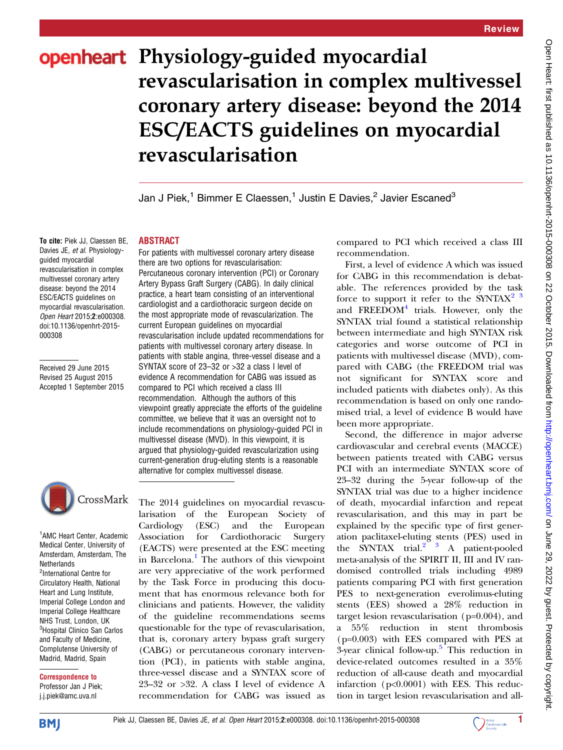## openheart Physiology-guided myocardial revascularisation in complex multivessel coronary artery disease: beyond the 2014 ESC/EACTS guidelines on myocardial revascularisation

Jan J Piek,<sup>1</sup> Bimmer E Claessen,<sup>1</sup> Justin E Davies,<sup>2</sup> Javier Escaned<sup>3</sup>

## ABSTRACT

To cite: Piek JJ, Claessen BE, Davies JE, et al. Physiologyguided myocardial revascularisation in complex multivessel coronary artery disease: beyond the 2014 ESC/EACTS guidelines on myocardial revascularisation. Open Heart 2015;2:e000308. doi:10.1136/openhrt-2015- 000308

Received 29 June 2015 Revised 25 August 2015 Accepted 1 September 2015



1 AMC Heart Center, Academic Medical Center, University of Amsterdam, Amsterdam, The **Netherlands** <sup>2</sup>International Centre for Circulatory Health, National Heart and Lung Institute, Imperial College London and Imperial College Healthcare NHS Trust, London, UK <sup>3</sup>Hospital Clinico San Carlos and Faculty of Medicine, Complutense University of Madrid, Madrid, Spain

Correspondence to Professor Jan J Piek; j.j.piek@amc.uva.nl

For patients with multivessel coronary artery disease there are two options for revascularisation: Percutaneous coronary intervention (PCI) or Coronary Artery Bypass Graft Surgery (CABG). In daily clinical practice, a heart team consisting of an interventional cardiologist and a cardiothoracic surgeon decide on the most appropriate mode of revascularization. The current European guidelines on myocardial revascularisation include updated recommendations for patients with multivessel coronary artery disease. In patients with stable angina, three-vessel disease and a SYNTAX score of 23–32 or >32 a class I level of evidence A recommendation for CABG was issued as compared to PCI which received a class III recommendation. Although the authors of this viewpoint greatly appreciate the efforts of the guideline committee, we believe that it was an oversight not to include recommendations on physiology-guided PCI in multivessel disease (MVD). In this viewpoint, it is argued that physiology-guided revascularization using current-generation drug-eluting stents is a reasonable alternative for complex multivessel disease.

The 2014 guidelines on myocardial revascularisation of the European Society of Cardiology (ESC) and the European Association for Cardiothoracic Surgery (EACTS) were presented at the ESC meeting in Barcelona.<sup>[1](#page-2-0)</sup> The authors of this viewpoint are very appreciative of the work performed by the Task Force in producing this document that has enormous relevance both for clinicians and patients. However, the validity of the guideline recommendations seems questionable for the type of revascularisation, that is, coronary artery bypass graft surgery (CABG) or percutaneous coronary intervention (PCI), in patients with stable angina, three-vessel disease and a SYNTAX score of 23–32 or >32. A class I level of evidence A recommendation for CABG was issued as

compared to PCI which received a class III recommendation.

First, a level of evidence A which was issued for CABG in this recommendation is debatable. The references provided by the task force to support it refer to the SYNTAX<sup>2</sup><sup>3</sup> and  $FREFDOM<sup>4</sup>$  $FREFDOM<sup>4</sup>$  $FREFDOM<sup>4</sup>$  trials. However, only the SYNTAX trial found a statistical relationship between intermediate and high SYNTAX risk categories and worse outcome of PCI in patients with multivessel disease (MVD), compared with CABG (the FREEDOM trial was not significant for SYNTAX score and included patients with diabetes only). As this recommendation is based on only one randomised trial, a level of evidence B would have been more appropriate.

Second, the difference in major adverse cardiovascular and cerebral events (MACCE) between patients treated with CABG versus PCI with an intermediate SYNTAX score of 23–32 during the 5-year follow-up of the SYNTAX trial was due to a higher incidence of death, myocardial infarction and repeat revascularisation, and this may in part be explained by the specific type of first generation paclitaxel-eluting stents (PES) used in the SYNTAX trial. $2^{2}$  3 A patient-pooled meta-analysis of the SPIRIT II, III and IV randomised controlled trials including 4989 patients comparing PCI with first generation PES to next-generation everolimus-eluting stents (EES) showed a 28% reduction in target lesion revascularisation (p=0.004), and a 55% reduction in stent thrombosis (p=0.003) with EES compared with PES at  $3$ -year clinical follow-up. $\overline{5}$  $\overline{5}$  $\overline{5}$  This reduction in device-related outcomes resulted in a 35% reduction of all-cause death and myocardial infarction (p<0.0001) with EES. This reduction in target lesion revascularisation and all-

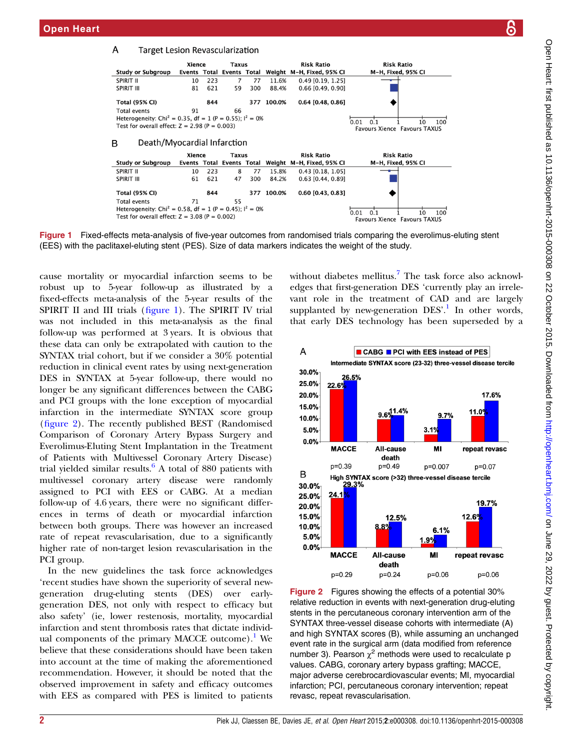

Figure 1 Fixed-effects meta-analysis of five-year outcomes from randomised trials comparing the everolimus-eluting stent (EES) with the paclitaxel-eluting stent (PES). Size of data markers indicates the weight of the study.

cause mortality or myocardial infarction seems to be robust up to 5-year follow-up as illustrated by a fixed-effects meta-analysis of the 5-year results of the SPIRIT II and III trials (figure 1). The SPIRIT IV trial was not included in this meta-analysis as the final follow-up was performed at 3 years. It is obvious that these data can only be extrapolated with caution to the SYNTAX trial cohort, but if we consider a 30% potential reduction in clinical event rates by using next-generation DES in SYNTAX at 5-year follow-up, there would no longer be any significant differences between the CABG and PCI groups with the lone exception of myocardial infarction in the intermediate SYNTAX score group (figure 2). The recently published BEST (Randomised Comparison of Coronary Artery Bypass Surgery and Everolimus-Eluting Stent Implantation in the Treatment of Patients with Multivessel Coronary Artery Disease) trial yielded similar results. $6$  A total of 880 patients with multivessel coronary artery disease were randomly assigned to PCI with EES or CABG. At a median follow-up of 4.6 years, there were no significant differences in terms of death or myocardial infarction between both groups. There was however an increased rate of repeat revascularisation, due to a significantly higher rate of non-target lesion revascularisation in the PCI group.

In the new guidelines the task force acknowledges 'recent studies have shown the superiority of several newgeneration drug-eluting stents (DES) over earlygeneration DES, not only with respect to efficacy but also safety' (ie, lower restenosis, mortality, myocardial infarction and stent thrombosis rates that dictate individ-ual components of the primary MACCE outcome).<sup>[1](#page-2-0)</sup> We believe that these considerations should have been taken into account at the time of making the aforementioned recommendation. However, it should be noted that the observed improvement in safety and efficacy outcomes with EES as compared with PES is limited to patients

without diabetes mellitus.<sup>[7](#page-2-0)</sup> The task force also acknowledges that first-generation DES 'currently play an irrelevant role in the treatment of CAD and are largely supplanted by new-generation DES'.<sup>[1](#page-2-0)</sup> In other words, that early DES technology has been superseded by a



Figure 2 Figures showing the effects of a potential 30% relative reduction in events with next-generation drug-eluting stents in the percutaneous coronary intervention arm of the SYNTAX three-vessel disease cohorts with intermediate (A) and high SYNTAX scores (B), while assuming an unchanged event rate in the surgical arm (data modified from reference number 3). Pearson  $\chi^2$  methods were used to recalculate p values. CABG, coronary artery bypass grafting; MACCE, major adverse cerebrocardiovascular events; MI, myocardial infarction; PCI, percutaneous coronary intervention; repeat revasc, repeat revascularisation.